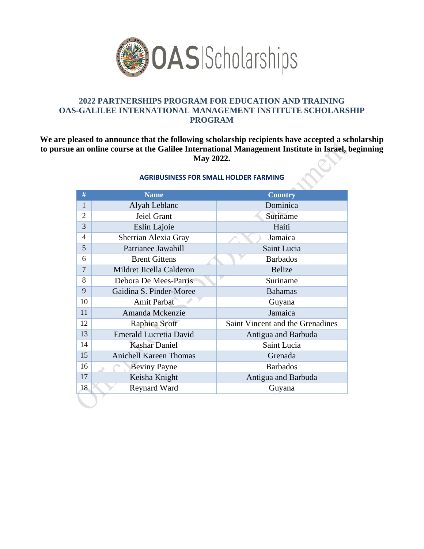

## **PARTNERSHIPS PROGRAM FOR EDUCATION AND TRAINING OAS-GALILEE INTERNATIONAL MANAGEMENT INSTITUTE SCHOLARSHIP PROGRAM**

**We are pleased to announce that the following scholarship recipients have accepted a scholarship to pursue an online course at the Galilee International Management Institute in Israel, beginning May 2022.**

| #                        | <b>Name</b>                   | <b>Country</b>                   |
|--------------------------|-------------------------------|----------------------------------|
| 1                        | Alyah Leblanc                 | Dominica                         |
| $\overline{2}$           | Jeiel Grant                   | Suriname                         |
| 3                        | Eslin Lajoie                  | Haiti                            |
| $\overline{\mathcal{A}}$ | Sherrian Alexia Gray          | Jamaica                          |
| 5                        | Patrianee Jawahill            | Saint Lucia                      |
| 6                        | <b>Brent Gittens</b>          | <b>Barbados</b>                  |
| $\overline{7}$           | Mildret Jicella Calderon      | <b>Belize</b>                    |
| 8                        | Debora De Mees-Parris         | Suriname                         |
| 9                        | Gaidina S. Pinder-Moree       | <b>Bahamas</b>                   |
| 10                       | <b>Amit Parbat</b>            | Guyana                           |
| 11                       | Amanda Mckenzie               | Jamaica                          |
| 12                       | Raphica Scott                 | Saint Vincent and the Grenadines |
| 13                       | <b>Emerald Lucretia David</b> | Antigua and Barbuda              |
| 14                       | <b>Kashar Daniel</b>          | Saint Lucia                      |
| 15                       | <b>Anichell Kareen Thomas</b> | Grenada                          |
| 16                       | <b>Beviny Payne</b>           | <b>Barbados</b>                  |
| 17                       | Keisha Knight                 | Antigua and Barbuda              |
| 18                       | <b>Reynard Ward</b>           | Guyana                           |

## **AGRIBUSINESS FOR SMALL HOLDER FARMING**